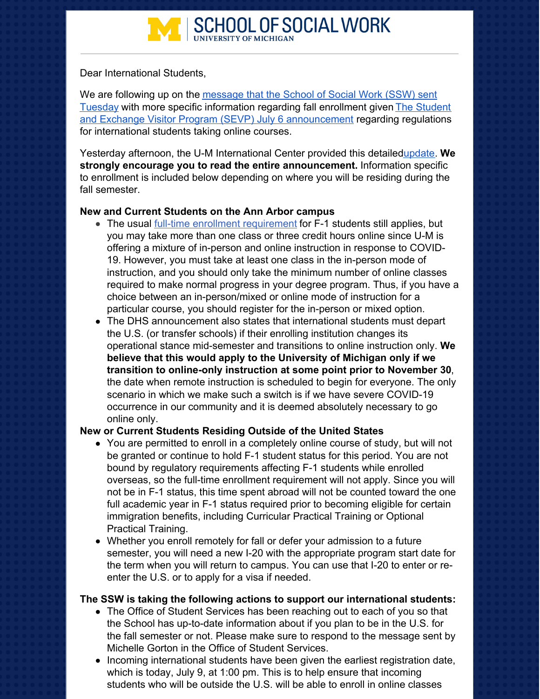

Dear International Students,

We are following up on the message that the School of Social Work (SSW) sent Tuesday with more specific [information](https://conta.cc/3efIlyF) regarding fall enrollment given The Student and Exchange Visitor Program (SEVP) July 6 [announcement](https://www.ice.gov/news/releases/sevp-modifies-temporary-exemptions-nonimmigrant-students-taking-online-courses-during) regarding regulations for international students taking online courses.

Yesterday afternoon, the U-M International Center provided this detaile[dupdate](https://internationalcenter.umich.edu/planning-fall-term-2020-new-dhs-procedures-and-u-m-updates). **We strongly encourage you to read the entire announcement.** Information specific to enrollment is included below depending on where you will be residing during the fall semester.

## **New and Current Students on the Ann Arbor campus**

- The usual full-time enrollment [requirement](https://internationalcenter.umich.edu/students/enrollment-requirements) for F-1 students still applies, but you may take more than one class or three credit hours online since U-M is offering a mixture of in-person and online instruction in response to COVID-19. However, you must take at least one class in the in-person mode of instruction, and you should only take the minimum number of online classes required to make normal progress in your degree program. Thus, if you have a choice between an in-person/mixed or online mode of instruction for a particular course, you should register for the in-person or mixed option.
- The DHS announcement also states that international students must depart the U.S. (or transfer schools) if their enrolling institution changes its operational stance mid-semester and transitions to online instruction only. **We believe that this would apply to the University of Michigan only if we transition to online-only instruction at some point prior to November 30**, the date when remote instruction is scheduled to begin for everyone. The only scenario in which we make such a switch is if we have severe COVID-19 occurrence in our community and it is deemed absolutely necessary to go online only.

## **New or Current Students Residing Outside of the United States**

- You are permitted to enroll in a completely online course of study, but will not be granted or continue to hold F-1 student status for this period. You are not bound by regulatory requirements affecting F-1 students while enrolled overseas, so the full-time enrollment requirement will not apply. Since you will not be in F-1 status, this time spent abroad will not be counted toward the one full academic year in F-1 status required prior to becoming eligible for certain immigration benefits, including Curricular Practical Training or Optional Practical Training.
- Whether you enroll remotely for fall or defer your admission to a future semester, you will need a new I-20 with the appropriate program start date for the term when you will return to campus. You can use that I-20 to enter or reenter the U.S. or to apply for a visa if needed.

## **The SSW is taking the following actions to support our international students:**

- The Office of Student Services has been reaching out to each of you so that the School has up-to-date information about if you plan to be in the U.S. for the fall semester or not. Please make sure to respond to the message sent by Michelle Gorton in the Office of Student Services.
- Incoming international students have been given the earliest registration date, which is today, July 9, at 1:00 pm. This is to help ensure that incoming students who will be outside the U.S. will be able to enroll in online classes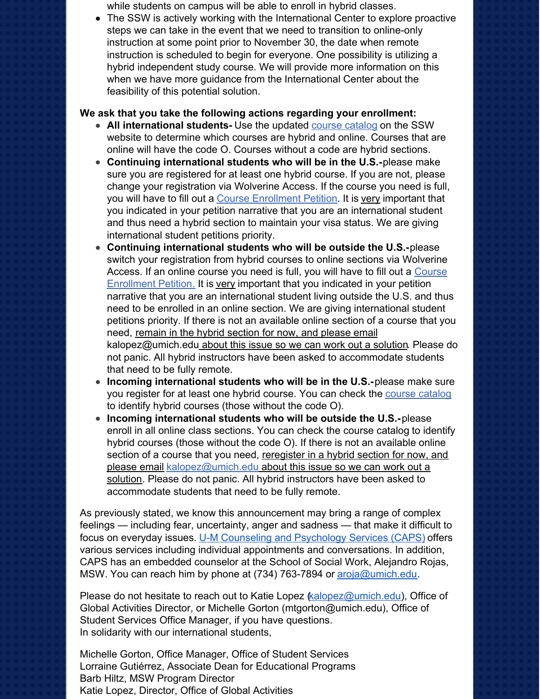while students on campus will be able to enroll in hybrid classes.

The SSW is actively working with the International Center to explore proactive steps we can take in the event that we need to transition to online-only instruction at some point prior to November 30, the date when remote instruction is scheduled to begin for everyone. One possibility is utilizing a hybrid independent study course. We will provide more information on this when we have more guidance from the International Center about the feasibility of this potential solution.

## **We ask that you take the following actions regarding your enrollment:**

- **All international students-** Use the updated course [catalog](https://ssw.umich.edu/courses/fall-2020/20212?sort=number_asc&ll=25) on the SSW website to determine which courses are hybrid and online. Courses that are online will have the code O. Courses without a code are hybrid sections.
- **Continuing international students who will be in the U.S.-**please make sure you are registered for at least one hybrid course. If you are not, please change your registration via Wolverine Access. If the course you need is full, you will have to fill out a Course [Enrollment](https://weblogin.umich.edu/?cosign-ssw.umich.edu&https://ssw.umich.edu/assets/course-enrollment-petition/) Petition. It is very important that you indicated in your petition narrative that you are an international student and thus need a hybrid section to maintain your visa status. We are giving international student petitions priority.
- **Continuing international students who will be outside the U.S.-**please switch your registration from hybrid courses to online sections via Wolverine Access. If an online course you need is full, you will have to fill out a Course [Enrollment](https://weblogin.umich.edu/?cosign-ssw.umich.edu&https://ssw.umich.edu/assets/course-enrollment-petition/) Petition. It is very important that you indicated in your petition narrative that you are an international student living outside the U.S. and thus need to be enrolled in an online section. We are giving international student petitions priority. If there is not an available online section of a course that you need, remain in the hybrid section for now, and please email [kalopez@umich.edu](mailto:kalopez@umich.edu) about this issue so we can work out a solution. Please do not panic. All hybrid instructors have been asked to accommodate students that need to be fully remote.
- **Incoming international students who will be in the U.S.-**please make sure you register for at least one hybrid course. You can check the course [catalog](https://ssw.umich.edu/courses/fall-2020/20212?sort=number_asc&ll=25) to identify hybrid courses (those without the code O).
- **Incoming international students who will be outside the U.S.-**please enroll in all online class sections. You can check the course [catalog](https://ssw.umich.edu/courses/fall-2020/20212?sort=number_asc&ll=25) to identify hybrid courses (those without the code O). If there is not an available online section of a course that you need, reregister in a hybrid section for now, and please email [kalopez@umich.edu](mailto:kalopez@umich.edu) about this issue so we can work out a solution. Please do not panic. All hybrid instructors have been asked to accommodate students that need to be fully remote.

As previously stated, we know this announcement may bring a range of complex feelings — including fear, uncertainty, anger and sadness — that make it difficult to focus on everyday issues. [U](http://r20.rs6.net/tn.jsp?f=0017qvzxPxp-JHOifWDJ8jZCqrMIduSQtHI3L_7lByecX6Z3zHjPZ2SKPnHy7VRRyHDaxkCZwT12U_Qhy5mh-16kZoQ6zGTVNPyeM6h9twH1ZW5RFrCGUee-PAI_Bxu1NUecK5uj5teZTuSkJx4-XEZ3t1CGqMRnHajcLJMr_4a_8F-F6nW8eeVuphsCDVOTBtnCaZQKUpSIvi8GHdrbMizTw==&c=8yRkDkQR8tOnl9NtzdN0euoz08ZeKin-TAxW6f3lIp6K52Uu4FtjmQ==&ch=C-Dud0VKQC6BAw3HrefR22Df4_yJcQaZ_4bpMLxZK67Isp7FhlfLEw==)-M Counseling and [Psychology](http://r20.rs6.net/tn.jsp?f=0017qvzxPxp-JHOifWDJ8jZCqrMIduSQtHI3L_7lByecX6Z3zHjPZ2SKPnHy7VRRyHDaxkCZwT12U_Qhy5mh-16kZoQ6zGTVNPyeM6h9twH1ZW5RFrCGUee-PAI_Bxu1NUecK5uj5teZTuSkJx4-XEZ3t1CGqMRnHajcLJMr_4a_8F-F6nW8eeVuphsCDVOTBtnCaZQKUpSIvi8GHdrbMizTw==&c=8yRkDkQR8tOnl9NtzdN0euoz08ZeKin-TAxW6f3lIp6K52Uu4FtjmQ==&ch=C-Dud0VKQC6BAw3HrefR22Df4_yJcQaZ_4bpMLxZK67Isp7FhlfLEw==) Services (CAPS) offers various services including individual appointments and conversations. In addition, CAPS has an embedded counselor at the School of Social Work, Alejandro Rojas, MSW. You can reach him by phone at (734) 763-7894 or [aroja@umich.edu](mailto:aroja@umich.edu).

Please do not hesitate to reach out to Katie Lopez  $\⊂>kalopez@umich.edu$ ), Office of Global Activities Director, or Michelle Gorton (mtgorton@umich.edu), Office of Student Services Office Manager, if you have questions. In solidarity with our international students,

Michelle Gorton, Office Manager, Office of Student Services Lorraine Gutiérrez, Associate Dean for Educational Programs Barb Hiltz, MSW Program Director Katie Lopez, Director, Office of Global Activities